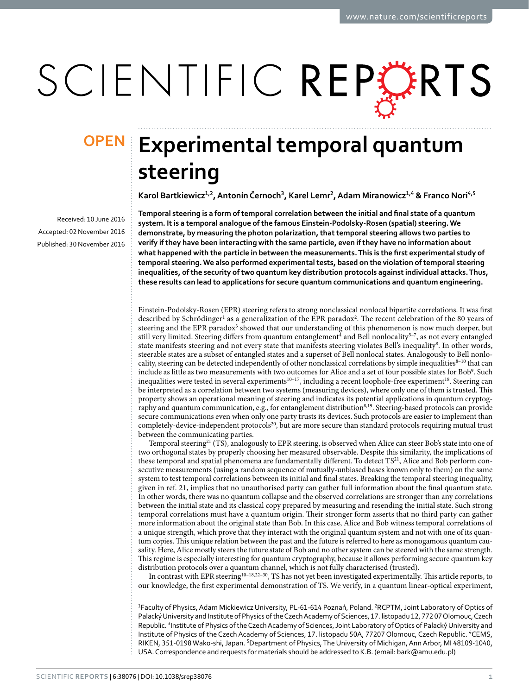# SCIENTIFIC REPERTS

Received: 10 June 2016 accepted: 02 November 2016 Published: 30 November 2016

## **Experimental temporal quantum OPENsteering**

Karol Bartkiewicz<sup>1,2</sup>, Antonín Černoch<sup>3</sup>, Karel Lemr<sup>2</sup>, Adam Miranowicz<sup>1,4</sup> & Franco Nori<sup>4,5</sup>

**Temporal steering is a form of temporal correlation between the initial and final state of a quantum system. It is a temporal analogue of the famous Einstein-Podolsky-Rosen (spatial) steering. We demonstrate, by measuring the photon polarization, that temporal steering allows two parties to verify if they have been interacting with the same particle, even if they have no information about what happened with the particle in between the measurements. This is the first experimental study of temporal steering. We also performed experimental tests, based on the violation of temporal steering inequalities, of the security of two quantum key distribution protocols against individual attacks. Thus, these results can lead to applications for secure quantum communications and quantum engineering.**

Einstein-Podolsky-Rosen (EPR) steering refers to strong nonclassical nonlocal bipartite correlations. It was first described by Schrödinger<sup>1</sup> as a generalization of the EPR paradox<sup>[2](#page-6-1)</sup>. The recent celebration of the 80 years of steering and the EPR paradox<sup>3</sup> showed that our understanding of this phenomenon is now much deeper, but still very limited. Steering differs from quantum entanglement<sup>[4](#page-6-3)</sup> and Bell nonlocality<sup>5-7</sup>, as not every entangled state manifests steering and not every state that manifests steering violates Bell's inequality[8](#page-6-5). In other words, steerable states are a subset of entangled states and a superset of Bell nonlocal states. Analogously to Bell nonlocality, steering can be detected independently of other nonclassical correlations by simple inequalities $8-10$  that can include as little as two measurements with two outcomes for Alice and a set of four possible states for Bob<sup>9</sup>. Such inequalities were tested in several experiments<sup>10-17</sup>, including a recent loophole-free experiment<sup>[18](#page-6-8)</sup>. Steering can be interpreted as a correlation between two systems (measuring devices), where only one of them is trusted. This property shows an operational meaning of steering and indicates its potential applications in quantum cryptog-raphy and quantum communication, e.g., for entanglement distribution<sup>8,[19](#page-6-9)</sup>. Steering-based protocols can provide secure communications even when only one party trusts its devices. Such protocols are easier to implement than completely-device-independent protocols<sup>20</sup>, but are more secure than standard protocols requiring mutual trust between the communicating parties.

Temporal steering<sup>21</sup> (TS), analogously to EPR steering, is observed when Alice can steer Bob's state into one of two orthogonal states by properly choosing her measured observable. Despite this similarity, the implications of these temporal and spatial phenomena are fundamentally different. To detect  $TS<sup>21</sup>$  $TS<sup>21</sup>$  $TS<sup>21</sup>$ , Alice and Bob perform consecutive measurements (using a random sequence of mutually-unbiased bases known only to them) on the same system to test temporal correlations between its initial and final states. Breaking the temporal steering inequality, given in [ref. 21](#page-6-11), implies that no unauthorised party can gather full information about the final quantum state. In other words, there was no quantum collapse and the observed correlations are stronger than any correlations between the initial state and its classical copy prepared by measuring and resending the initial state. Such strong temporal correlations must have a quantum origin. Their stronger form asserts that no third party can gather more information about the original state than Bob. In this case, Alice and Bob witness temporal correlations of a unique strength, which prove that they interact with the original quantum system and not with one of its quantum copies. This unique relation between the past and the future is referred to here as monogamous quantum causality. Here, Alice mostly steers the future state of Bob and no other system can be steered with the same strength. This regime is especially interesting for quantum cryptography, because it allows performing secure quantum key distribution protocols over a quantum channel, which is not fully characterised (trusted).

In contrast with EPR steering<sup>[10–18,](#page-6-7)[22–30](#page-6-12)</sup>, TS has not yet been investigated experimentally. This article reports, to our knowledge, the first experimental demonstration of TS. We verify, in a quantum linear-optical experiment,

<sup>1</sup>Faculty of Physics, Adam Mickiewicz University, PL-61-614 Poznań, Poland. <sup>2</sup>RCPTM, Joint Laboratory of Optics of Palacký University and Institute of Physics of the Czech Academy of Sciences, 17. listopadu 12, 772 07 Olomouc, Czech Republic. <sup>3</sup>Institute of Physics of the Czech Academy of Sciences, Joint Laboratory of Optics of Palacký University and Institute of Physics of the Czech Academy of Sciences, 17. listopadu 50A, 77207 Olomouc, Czech Republic. <sup>4</sup>CEMS, RIKEN, 351-0198 Wako-shi, Japan. <sup>5</sup>Department of Physics, The University of Michigan, Ann Arbor, MI 48109-1040, USA. Correspondence and requests for materials should be addressed to K.B. (email: [bark@amu.edu.pl](mailto:bark@amu.edu.pl))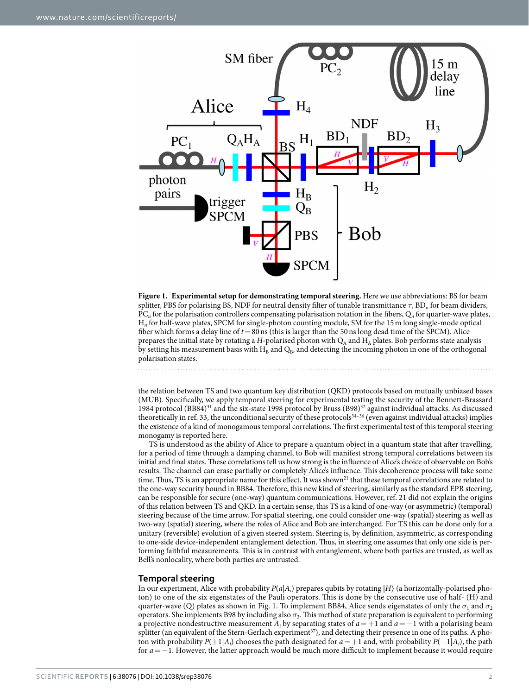

<span id="page-1-0"></span>**Figure 1. Experimental setup for demonstrating temporal steering.** Here we use abbreviations: BS for beam splitter, PBS for polarising BS, NDF for neutral density filter of tunable transmittance *τ*, BD*n* for beam dividers,  $PC<sub>n</sub>$  for the polarisation controllers compensating polarisation rotation in the fibers,  $Q<sub>n</sub>$  for quarter-wave plates, H*n* for half-wave plates, SPCM for single-photon counting module, SM for the 15m long single-mode optical fiber which forms a delay line of  $t = 80$  ns (this is larger than the 50 ns long dead time of the SPCM). Alice prepares the initial state by rotating a *H*-polarised photon with  $Q_A$  and  $H_A$  plates. Bob performs state analysis by setting his measurement basis with  $H_B$  and  $Q_B$ , and detecting the incoming photon in one of the orthogonal polarisation states.

the relation between TS and two quantum key distribution (QKD) protocols based on mutually unbiased bases (MUB). Specifically, we apply temporal steering for experimental testing the security of the Bennett-Brassard 1984 protocol (BB84)[31](#page-6-13) and the six-state 1998 protocol by Bruss (B98)[32](#page-6-14) against individual attacks. As discussed theoretically in [ref. 33](#page-6-15), the unconditional security of these protocols<sup>34-36</sup> (even against individual attacks) implies the existence of a kind of monogamous temporal correlations. The first experimental test of this temporal steering monogamy is reported here.

TS is understood as the ability of Alice to prepare a quantum object in a quantum state that after travelling, for a period of time through a damping channel, to Bob will manifest strong temporal correlations between its initial and final states. These correlations tell us how strong is the influence of Alice's choice of observable on Bob's results. The channel can erase partially or completely Alice's influence. This decoherence process will take some time. Thus, TS is an appropriate name for this effect. It was shown<sup>21</sup> that these temporal correlations are related to the one-way security bound in BB84. Therefore, this new kind of steering, similarly as the standard EPR steering, can be responsible for secure (one-way) quantum communications. However, [ref. 21](#page-6-11) did not explain the origins of this relation between TS and QKD. In a certain sense, this TS is a kind of one-way (or asymmetric) (temporal) steering because of the time arrow. For spatial steering, one could consider one-way (spatial) steering as well as two-way (spatial) steering, where the roles of Alice and Bob are interchanged. For TS this can be done only for a unitary (reversible) evolution of a given steered system. Steering is, by definition, asymmetric, as corresponding to one-side device-independent entanglement detection. Thus, in steering one assumes that only one side is performing faithful measurements. This is in contrast with entanglement, where both parties are trusted, as well as Bell's nonlocality, where both parties are untrusted.

#### **Temporal steering**

In our experiment, Alice with probability  $P(a|A_i)$  prepares qubits by rotating  $|H\rangle$  (a horizontally-polarised photon) to one of the six eigenstates of the Pauli operators. This is done by the consecutive use of half- (H) and quarter-wave (Q) plates as shown in [Fig. 1.](#page-1-0) To implement BB84, Alice sends eigenstates of only the  $\sigma_1$  and  $\sigma_2$ operators. She implements B98 by including also *σ*<sub>3</sub>. This method of state preparation is equivalent to performing a projective nondestructive measurement  $A_i$  by separating states of  $a = +1$  and  $a = -1$  with a polarising beam splitter (an equivalent of the Stern-Gerlach experiment<sup>[37](#page-6-17)</sup>), and detecting their presence in one of its paths. A photon with probability  $P(+1|A_i)$  chooses the path designated for  $a = +1$  and, with probability  $P(-1|A_i)$ , the path for *a*= −1. However, the latter approach would be much more difficult to implement because it would require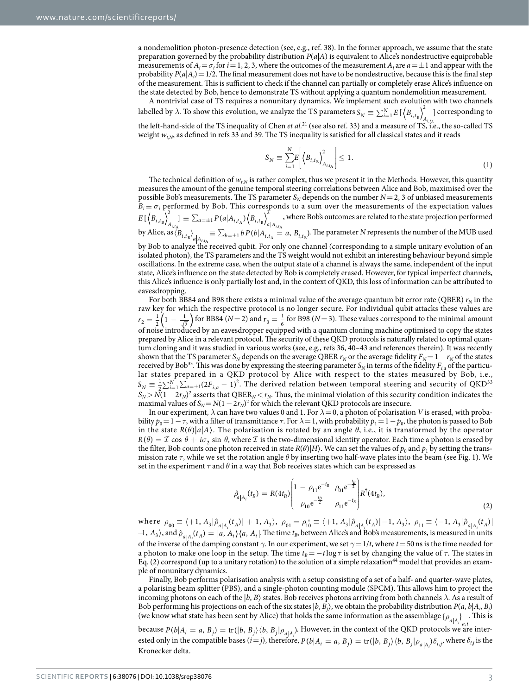a nondemolition photon-presence detection (see, e.g., [ref. 38](#page-6-18)). In the former approach, we assume that the state preparation governed by the probability distribution *P*(*a*|*A*) is equivalent to Alice's nondestructive equiprobable measurements of  $A_i = \sigma_i$  for *i* = 1, 2, 3, where the outcomes of the measurement  $A_i$  are  $a = \pm 1$  and appear with the probability  $P(a|A_i) = 1/2$ . The final measurement does not have to be nondestructive, because this is the final step of the measurement. This is sufficient to check if the channel can partially or completely erase Alice's influence on the state detected by Bob, hence to demonstrate TS without applying a quantum nondemolition measurement.

A nontrivial case of TS requires a nonunitary dynamics. We implement such evolution with two channels labelled by  $\lambda$ . To show this evolution, we analyze the TS parameters  $S_N \equiv \sum_{i=1}^N E\left[\left\langle B_{i,t_B}\right\rangle^2_{A_{i,t_A}}\right]$  $\frac{B}{n}$   $A_{i,t_A}$  corresponding to the left-hand-side of the TS inequality of Chen *et al.*[21](#page-6-11) (see also [ref. 33](#page-6-15)) and a measure of TS, i.e., the so-called TS weight  $w_{t,N}$ , as defined in [refs 33](#page-6-15) and [39.](#page-6-19) The TS inequality is satisfied for all classical states and it reads

$$
S_N \equiv \sum_{i=1}^N E \left| \left\langle B_{i,t_{\rm B}} \right\rangle_{A_{i,t_{\rm A}}}^2 \right| \le 1. \tag{1}
$$

The technical definition of  $w_{t,N}$  is rather complex, thus we present it in the Methods. However, this quantity measures the amount of the genuine temporal steering correlations between Alice and Bob, maximised over the possible Bob's measurements. The TS parameter  $S_N$  depends on the number  $N=2$ , 3 of unbiased measurements  $B_i \equiv \sigma_i$  performed by Bob. This corresponds to a sum over the measurements of the expectation values  $E\,[\,\left< B_{i,t_{\mathrm{B}}}\right>^2_{A_{i,t_{\mathrm{A}}}}]\equiv \sum_{a=\pm 1}P(a|A_{i,t_{\mathrm{A}}})\left< B_{i,t_{\mathrm{B}}}\right>^2_{a|A}$  $1^{\Gamma}$   $(u | A_{i,t_A}/\sqrt{D_i})$ 2  ${}^B/A_{i,t_A}$   ${}^{\sim}$   ${}^{\sim}$   ${}^{\sim}$   ${}^{\sim}$   ${}^{\sim}$   ${}^{\sim}$   ${}^{\sim}$   ${}^{\sim}$   ${}^{\sim}$   ${}^{\sim}$   ${}^{\sim}$   ${}^{\sim}$   ${}^{\sim}$   ${}^{\sim}$   ${}^{\sim}$   ${}^{\sim}$   ${}^{\sim}$   ${}^{\sim}$   ${}^{\sim}$   ${}^{\sim}$   ${}^{\sim}$   ${}^{\sim}$   ${}^{\sim}$   ${}^{\sim}$   ${}^{\sim}$   ${}^{\sim}$  , where Bob's outcomes are related to the state projection performed by Alice, as  $\langle B_{i,t_{\rm B}}\rangle_{a_{i,t_{\rm A}}} \equiv \sum_{b=\pm 1} b P(b|A_{i,t_{\rm A}} = a, B_{i,t_{\rm B}})$ . The parameter *N* represents the number of the MUB used by Bob to analyze the received qubit. For only one channel (corresponding to a simple unitary evolution of an isolated photon), the TS parameters and the TS weight would not exhibit an interesting behaviour beyond simple

oscillations. In the extreme case, when the output state of a channel is always the same, independent of the input state, Alice's influence on the state detected by Bob is completely erased. However, for typical imperfect channels, this Alice's influence is only partially lost and, in the context of QKD, this loss of information can be attributed to eavesdropping.

For both BB84 and B98 there exists a minimal value of the average quantum bit error rate (QBER)  $r_N$  in the raw key for which the respective protocol is no longer secure. For individual qubit attacks these values are  $r_2 = \frac{1}{2} \left( 1 - \frac{1}{\sqrt{2}} \right)$ 2  $\frac{1}{\sqrt{2}}$  for BB84 (*N* = 2) and  $r_3 = \frac{1}{6}$  for B98 (*N* = 3). These values correspond to the minimal amount of noise introduced by an eavesdropper equipped with a quantum cloning machine optimised to copy the states prepared by Alice in a relevant protocol. The security of these QKD protocols is naturally related to optimal quantum cloning and it was studied in various works (see, e.g., [refs 36,](#page-6-20) 40-43 and references therein). It was recently shown that the TS parameter  $S_N$  depends on the average QBER  $r_N$  or the average fidelity  $F_N = 1 - r_N$  of the states received by Bob<sup>[33](#page-6-15)</sup>. This was done by expressing the steering parameter  $S_N$  in terms of the fidelity  $F_{i,a}$  of the particular states prepared in a QKD protocol by Alice with respect to the states measured by Bob, i.e.,  $S_N = \frac{1}{2} \sum_{i=1}^N \sum_{a=\pm 1}^n (2F_{i,a} - 1)^2$ . The derived relation between temporal steering and security of QKD<sup>[33](#page-6-15)</sup>  $S_N > N(1-2r_N)^2$  asserts that QBER<sub>N</sub> < *r<sub>N</sub>*. Thus, the minimal violation of this security condition indicates the maximal values of  $S_N = N(1 - 2r_N)^2$  for which the relevant QKD protocols are insecure.

In our experiment,  $\lambda$  can have two values 0 and 1. For  $\lambda = 0$ , a photon of polarisation *V* is erased, with probability  $p_0 = 1 - \tau$ , with a filter of transmittance  $\tau$ . For  $\lambda = 1$ , with probability  $p_1 = 1 - p_0$ , the photon is passed to Bob in the state  $R(\theta)|a|A\rangle$ . The polarisation is rotated by an angle  $\theta$ , i.e., it is transformed by the operator  $R(\theta) = \mathcal{I} \cos \theta + i\sigma$ ,  $\sin \theta$ , where  $\mathcal{I}$  is the two-dimensional identity operator. Each time a photon is erased by the filter, Bob counts one photon received in state  $R(\theta)|H\rangle$ . We can set the values of  $p_0$  and  $p_1$  by setting the transmission rate *τ*, while we set the rotation angle *θ* by inserting two half-wave plates into the beam (see [Fig. 1\)](#page-1-0). We set in the experiment  $\tau$  and  $\theta$  in a way that Bob receives states which can be expressed as

$$
\hat{\rho}_{a|A_i}(t_B) = R(4t_B) \begin{pmatrix} 1 - \rho_{11} e^{-t_B} & \rho_{01} e^{-\frac{t_B}{2}} \\ \rho_{10} e^{-\frac{t_B}{2}} & \rho_{11} e^{-t_B} \end{pmatrix} R^{\dagger} (4t_B), \tag{2}
$$

where  $\rho_{00} \equiv \langle +1, A_3 | \hat{\rho}_{a|A_i}(t_A) | +1, A_3 \rangle$ ,  $\rho_{01} = \rho_{10}^* \equiv \langle +1, A_3 | \hat{\rho}_{a|A_i}(t_A) | -1, A_3 \rangle$ ,  $\rho_{11} \equiv \langle -1, A_3 | \hat{\rho}_{a|A_i}(t_A) |$  $-1$ ,  $A_3$ ), and  $\hat{p}_{a|A_i}(t_A) = |a, A_i\rangle \langle a, A_i|$ . The time  $t_B$ , between Alice's and Bob's measurements, is measured in units of the inverse of the damping constant *γ*. In our experiment, we set *γ*=1/*t*, where *t*=50ns is the time needed for a photon to make one loop in the setup. The time  $t_B = -t \log \tau$  is set by changing the value of  $\tau$ . The states in Eq. (2) correspond (up to a unitary rotation) to the solution of a simple relaxation<sup>44</sup> model that provides an example of nonunitary dynamics.

Finally, Bob performs polarisation analysis with a setup consisting of a set of a half- and quarter-wave plates, a polarising beam splitter (PBS), and a single-photon counting module (SPCM). This allows him to project the incoming photons on each of the  $|b, B\rangle$  states. Bob receives photons arriving from both channels  $\lambda$ . As a result of Bob performing his projections on each of the six states  $|b, B_j\rangle$ , we obtain the probability distribution  $P(a, b|A_i, B_j)$ (we know what state has been sent by Alice) that holds the same information as the assemblage  $\{\rho_{a|A_i}\}$ . This is

because  $P(b|A_i = a, B_j) = \text{tr}(|b, B_j\rangle \langle b, B_j | \rho_{a|A_i})$ . However, in the context of the QKD protocols we are interested only in the compatible bases  $(i=j)$ , therefore,  $P(b|A_i = a, B_j) = \text{tr}(|b, B_j\rangle \langle b, B_j|\rho_{a|A_i}\rangle \delta_{i,j}$ , where  $\delta_{i,j}$  is the Kronecker delta.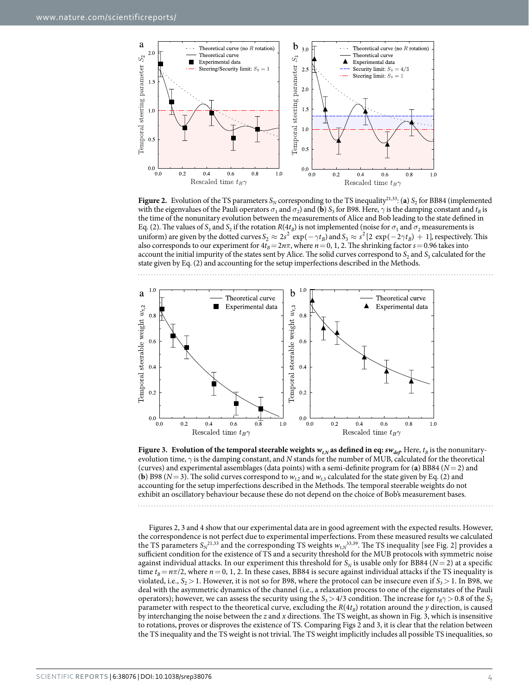

<span id="page-3-0"></span>**Figure 2.** Evolution of the TS parameters  $S_N$  corresponding to the TS inequality<sup>[21](#page-6-11),[33](#page-6-15)</sup>: (**a**)  $S_2$  for BB84 (implemented with the eigenvalues of the Pauli operators  $\sigma_1$  and  $\sigma_2$ ) and (**b**)  $S_3$  for B98. Here,  $\gamma$  is the damping constant and  $t_B$  is the time of the nonunitary evolution between the measurements of Alice and Bob leading to the state defined in Eq. (2). The values of  $S_3$  and  $S_2$  if the rotation  $R(4t_B)$  is not implemented (noise for  $\sigma_1$  and  $\sigma_2$  measurements is uniform) are given by the dotted curves  $S_2 \approx 2s^2 \exp(-\gamma t_B)$  and  $S_3 \approx s^2 [2 \exp(-2\gamma t_B) + 1]$ , respectively. This also corresponds to our experiment for  $4t_B = 2n\pi$ , where  $n = 0, 1, 2$ . The shrinking factor  $s = 0.96$  takes into account the initial impurity of the states sent by Alice. The solid curves correspond to  $S_2$  and  $S_3$  calculated for the state given by Eq. (2) and accounting for the setup imperfections described in the Methods.



<span id="page-3-1"></span>**Figure 3.** Evolution of the temporal steerable weights  $w_{t,N}$  as defined in eq:  $sw_{def}$ . Here,  $t_B$  is the nonunitaryevolution time, *γ* is the damping constant, and *N* stands for the number of MUB, calculated for the theoretical (curves) and experimental assemblages (data points) with a semi-definite program for (**a**) BB84 (*N*=2) and (**b**) B98 ( $N=3$ ). The solid curves correspond to  $w_{t,2}$  and  $w_{t,3}$  calculated for the state given by Eq. (2) and accounting for the setup imperfections described in the Methods. The temporal steerable weights do not exhibit an oscillatory behaviour because these do not depend on the choice of Bob's measurement bases.

[Figures 2](#page-3-0), [3](#page-3-1) and [4](#page-4-0) show that our experimental data are in good agreement with the expected results. However, the correspondence is not perfect due to experimental imperfections. From these measured results we calculated the TS parameters  $S_N^{21,33}$  $S_N^{21,33}$  $S_N^{21,33}$  $S_N^{21,33}$  $S_N^{21,33}$  and the corresponding TS weights  $w_{t,N}^{33,39}$ . The TS inequality [see [Fig. 2\]](#page-3-0) provides a sufficient condition for the existence of TS and a security threshold for the MUB protocols with symmetric noise against individual attacks. In our experiment this threshold for  $S_N$  is usable only for BB84 ( $N=2$ ) at a specific time  $t_B = n\pi/2$ , where  $n = 0, 1, 2$ . In these cases, BB84 is secure against individual attacks if the TS inequality is violated, i.e.,  $S_2 > 1$ . However, it is not so for B98, where the protocol can be insecure even if  $S_3 > 1$ . In B98, we deal with the asymmetric dynamics of the channel (i.e., a relaxation process to one of the eigenstates of the Pauli operators); however, we can assess the security using the  $S_3 > 4/3$  condition. The increase for  $t_B \gamma > 0.8$  of the  $S_2$ parameter with respect to the theoretical curve, excluding the  $R(4t_B)$  rotation around the *y* direction, is caused by interchanging the noise between the *z* and *x* directions. The TS weight, as shown in [Fig. 3](#page-3-1), which is insensitive to rotations, proves or disproves the existence of TS. Comparing [Figs 2](#page-3-0) and [3](#page-3-1), it is clear that the relation between the TS inequality and the TS weight is not trivial. The TS weight implicitly includes all possible TS inequalities, so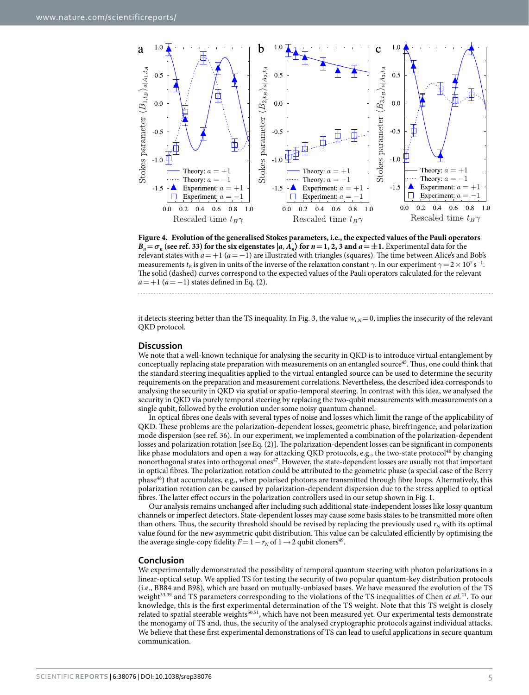

<span id="page-4-0"></span>**Figure 4. Evolution of the generalised Stokes parameters, i.e., the expected values of the Pauli operators**  $B_n = \sigma_n$  (see [ref. 33\)](#page-6-15) for the six eigenstates  $|a, A_n\rangle$  for  $n = 1, 2, 3$  and  $a = \pm 1$ . Experimental data for the relevant states with *a*=+1 (*a*=−1) are illustrated with triangles (squares). The time between Alice's and Bob's measurements  $t_B$  is given in units of the inverse of the relaxation constant  $\gamma$ . In our experiment  $\gamma = 2 \times 10^7$  s<sup>-1</sup>. The solid (dashed) curves correspond to the expected values of the Pauli operators calculated for the relevant  $a=+1$  ( $a=-1$ ) states defined in Eq. (2).

it detects steering better than the TS inequality. In [Fig. 3](#page-3-1), the value  $w_{tN}=0$ , implies the insecurity of the relevant QKD protocol.

#### **Discussion**

We note that a well-known technique for analysing the security in QKD is to introduce virtual entanglement by conceptually replacing state preparation with measurements on an entangled source<sup>45</sup>. Thus, one could think that the standard steering inequalities applied to the virtual entangled source can be used to determine the security requirements on the preparation and measurement correlations. Nevertheless, the described idea corresponds to analysing the security in QKD via spatial or spatio-temporal steering. In contrast with this idea, we analysed the security in QKD via purely temporal steering by replacing the two-qubit measurements with measurements on a single qubit, followed by the evolution under some noisy quantum channel.

In optical fibres one deals with several types of noise and losses which limit the range of the applicability of QKD. These problems are the polarization-dependent losses, geometric phase, birefringence, and polarization mode dispersion (see [ref. 36\)](#page-6-20). In our experiment, we implemented a combination of the polarization-dependent losses and polarization rotation [see Eq. (2)]. The polarization-dependent losses can be significant in components like phase modulators and open a way for attacking QKD protocols, e.g., the two-state protocol<sup>[46](#page-6-24)</sup> by changing nonorthogonal states into orthogonal ones<sup>[47](#page-7-0)</sup>. However, the state-dependent losses are usually not that important in optical fibres. The polarization rotation could be attributed to the geometric phase (a special case of the Berry phase<sup>48</sup>) that accumulates, e.g., when polarised photons are transmitted through fibre loops. Alternatively, this polarization rotation can be caused by polarization-dependent dispersion due to the stress applied to optical fibres. The latter effect occurs in the polarization controllers used in our setup shown in [Fig. 1](#page-1-0).

Our analysis remains unchanged after including such additional state-independent losses like lossy quantum channels or imperfect detectors. State-dependent losses may cause some basis states to be transmitted more often than others. Thus, the security threshold should be revised by replacing the previously used  $r_N$  with its optimal value found for the new asymmetric qubit distribution. This value can be calculated efficiently by optimising the the average single-copy fidelity  $F=1-r_N$  of  $1\rightarrow 2$  qubit cloners<sup>49</sup>.

#### **Conclusion**

We experimentally demonstrated the possibility of temporal quantum steering with photon polarizations in a linear-optical setup. We applied TS for testing the security of two popular quantum-key distribution protocols (i.e., BB84 and B98), which are based on mutually-unbiased bases. We have measured the evolution of the TS weight<sup>33,[39](#page-6-19)</sup> and TS parameters corresponding to the violations of the TS inequalities of Chen *et al.*<sup>[21](#page-6-11)</sup>. To our knowledge, this is the first experimental determination of the TS weight. Note that this TS weight is closely related to spatial steerable weights<sup>[50](#page-7-3),[51](#page-7-4)</sup>, which have not been measured yet. Our experimental tests demonstrate the monogamy of TS and, thus, the security of the analysed cryptographic protocols against individual attacks. We believe that these first experimental demonstrations of TS can lead to useful applications in secure quantum communication.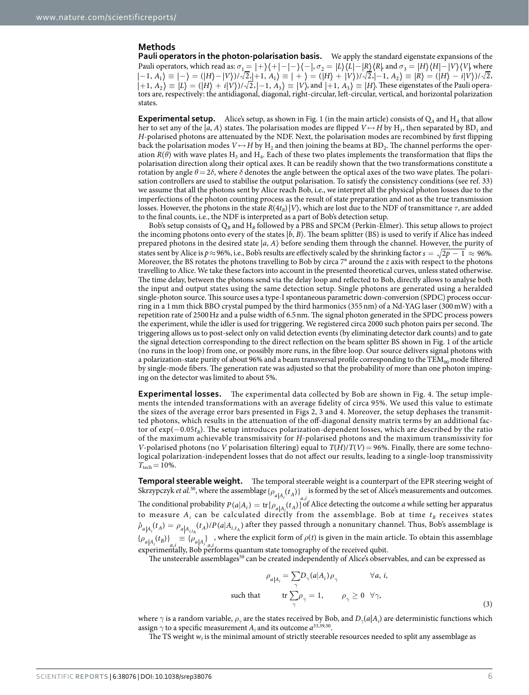#### **Methods**

**Pauli operators in the photon-polarisation basis.** We apply the standard eigenstate expansions of the Pauli operators, which read as:  $\sigma_1 = |+\rangle\langle+|-|-\rangle\langle-|$ ,  $\sigma_2 = |L\rangle\langle L|-|R\rangle\langle R|$ , and  $\sigma_3 = |H\rangle\langle H|-|V\rangle\langle V|$ , where  $-1, A_1 \equiv |- \rangle = (|H \rangle - |V \rangle)/\sqrt{2}$ <sub>1</sub> $+1, A_1 \equiv | + \rangle = (|H \rangle + |V \rangle)/\sqrt{2}$ ,  $-1, A_2 \rangle \equiv |R \rangle = (|H \rangle - i|V \rangle)/\sqrt{2}$ ,  $+1, A_2 \rangle \equiv |L \rangle = (|H \rangle + i|V \rangle)/\sqrt{2}, -1, A_3 \rangle \equiv |V \rangle$ , and  $|+1, A_3 \rangle \equiv |H \rangle$ . These eigenstates of the Pauli operators are, respectively: the antidiagonal, diagonal, right-circular, left-circular, vertical, and horizontal polarization states.

**Experimental setup.** Alice's setup, as shown in [Fig. 1](#page-1-0) (in the main article) consists of  $Q_A$  and  $H_A$  that allow her to set any of the  $|a, A\rangle$  states. The polarisation modes are flipped  $V \leftrightarrow H$  by H<sub>1</sub>, then separated by BD<sub>1</sub> and *H*-polarised photons are attenuated by the NDF. Next, the polarisation modes are recombined by first flipping back the polarisation modes  $V \leftrightarrow H$  by  $H_2$  and then joining the beams at  $BD_2$ . The channel performs the operation  $R(\theta)$  with wave plates H<sub>3</sub> and H<sub>4</sub>. Each of these two plates implements the transformation that flips the polarisation direction along their optical axes. It can be readily shown that the two transformations constitute a rotation by angle  $θ = 2δ$ , where  $δ$  denotes the angle between the optical axes of the two wave plates. The polarisation controllers are used to stabilise the output polarisation. To satisfy the consistency conditions (see [ref. 33\)](#page-6-15) we assume that all the photons sent by Alice reach Bob, i.e., we interpret all the physical photon losses due to the imperfections of the photon counting process as the result of state preparation and not as the true transmission losses. However, the photons in the state  $R(4t_B)|V\rangle$ , which are lost due to the NDF of transmittance  $\tau$ , are added to the final counts, i.e., the NDF is interpreted as a part of Bob's detection setup.

Bob's setup consists of Q*B* and H*B* followed by a PBS and SPCM (Perkin-Elmer). This setup allows to project the incoming photons onto every of the states  $|b, B\rangle$ . The beam splitter (BS) is used to verify if Alice has indeed prepared photons in the desired state |*a*, *A*〉 before sending them through the channel. However, the purity of states sent by Alice is  $p \approx 96\%$ , i.e., Bob's results are effectively scaled by the shrinking factor  $s = \sqrt{2p - 1} \approx 96\%$ . Moreover, the BS rotates the photons travelling to Bob by circa 7° around the *z* axis with respect to the photons travelling to Alice. We take these factors into account in the presented theoretical curves, unless stated otherwise. The time delay, between the photons send via the delay loop and reflected to Bob, directly allows to analyse both the input and output states using the same detection setup. Single photons are generated using a heralded single-photon source. This source uses a type-I spontaneous parametric down-conversion (SPDC) process occurring in a 1mm thick BBO crystal pumped by the third harmonics (355nm) of a Nd-YAG laser (300mW) with a repetition rate of 2500Hz and a pulse width of 6.5nm. The signal photon generated in the SPDC process powers the experiment, while the idler is used for triggering. We registered circa 2000 such photon pairs per second. The triggering allows us to post-select only on valid detection events (by eliminating detector dark counts) and to gate the signal detection corresponding to the direct reflection on the beam splitter BS shown in [Fig. 1](#page-1-0) of the article (no runs in the loop) from one, or possibly more runs, in the fibre loop. Our source delivers signal photons with a polarization-state purity of about 96% and a beam transversal profile corresponding to the TEM<sub>00</sub> mode filtered by single-mode fibers. The generation rate was adjusted so that the probability of more than one photon impinging on the detector was limited to about 5%.

**Experimental losses.** The experimental data collected by Bob are shown in [Fig. 4](#page-4-0). The setup implements the intended transformations with an average fidelity of circa 95%. We used this value to estimate the sizes of the average error bars presented in [Figs 2,](#page-3-0) [3](#page-3-1) and [4.](#page-4-0) Moreover, the setup dephases the transmitted photons, which results in the attenuation of the off-diagonal density matrix terms by an additional factor of exp(-0.05*t<sub>B</sub>*). The setup introduces polarization-dependent losses, which are described by the ratio of the maximum achievable transmissivity for *H*-polarised photons and the maximum transmissivity for *V*-polarised photons (no *V* polarisation filtering) equal to *T*(*H*)/*T*(*V*)=96%. Finally, there are some technological polarization-independent losses that do not affect our results, leading to a single-loop transmissivity  $T_{\text{tech}}=10\%$ .

**Temporal steerable weight.** The temporal steerable weight is a counterpart of the EPR steering weight of Skrzypczyk *et al.*<sup>[50](#page-7-3)</sup>, where the assemblage { $\rho_{a|A_i}(t_A)$ } is formed by the set of Alice's measurements and outcomes. The conditional probability  $P(a|A_i) = \text{tr}[\rho_{a|A_i}(t_A)]$  of Alice detecting the outcome *a* while setting her apparatus to measure  $A_i$  can be calculated directly from the assemblage. Bob at time  $t_B$  receives states  $\hat{\rho}_{a|A_i}(t_A) = \rho_{a|A_{i,t_A}}(t_A)/P(a|A_{i,t_A})$  after they passed through a nonunitary channel. Thus, Bob's assemblage is  ${\rho_{a|A_i}(t_B)}_{i \text{at}} = {\rho_{a|A_i}}_{i \text{at}}$ , where the explicit form of  $\rho(t)$  is given in the main article. To obtain this assemblage experimentally, Bob performs quantum state tomography of the received qubit.

The unsteerable assemblages<sup>50</sup> can be created independently of Alice's observables, and can be expressed as

$$
\rho_{a|A_i} = \sum_{\gamma} D_{\gamma}(a|A_i) \rho_{\gamma} \qquad \forall a, i,
$$
  
such that  $\operatorname{tr} \sum_{\gamma} \rho_{\gamma} = 1, \qquad \rho_{\gamma} \ge 0 \quad \forall \gamma,$  (3)

where  $\gamma$  is a random variable,  $\rho_{\gamma}$  are the states received by Bob, and  $D_{\gamma}(a|A_i)$  are deterministic functions which assign  $\gamma$  to a specific measurement  $A_i$  and its outcome  $a^{33,39,50}$  $a^{33,39,50}$  $a^{33,39,50}$  $a^{33,39,50}$  $a^{33,39,50}$  $a^{33,39,50}$  $a^{33,39,50}$ .

The TS weight  $w_t$  is the minimal amount of strictly steerable resources needed to split any assemblage as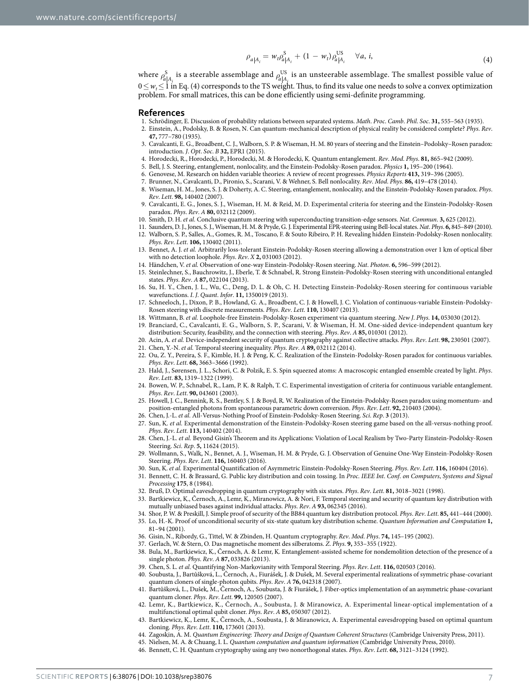$$
\rho_{a|A_i} = w_t \rho_{a|A_i}^S + (1 - w_t) \rho_{a|A_i}^{US} \quad \forall a, i,
$$
\n(4)

where  $\rho_{a|A}^{\rm S}$ *i* is a steerable assemblage and  $\rho_{a|A}^{\text{US}}$ *i* is an unsteerable assemblage. The smallest possible value of 0≤ *wt*≤ 1 in Eq. (4) corresponds to the TS weight. Thus, to find its value one needs to solve a convex optimization problem. For small matrices, this can be done efficiently using semi-definite programming.

#### **References**

- <span id="page-6-0"></span>1. Schrödinger, E. Discussion of probability relations between separated systems. *Math*. *Proc*. *Camb*. *Phil*. *Soc*. **31,** 555–563 (1935).
- <span id="page-6-1"></span>2. Einstein, A., Podolsky, B. & Rosen, N. Can quantum-mechanical description of physical reality be considered complete? *Phys*. *Rev*. **47,** 777–780 (1935).
- <span id="page-6-2"></span>3. Cavalcanti, E. G., Broadbent, C. J., Walborn, S. P. & Wiseman, H. M. 80 years of steering and the Einstein–Podolsky–Rosen paradox: introduction. *J*. *Opt*. *Soc*. *B* **32,** EPR1 (2015).
- <span id="page-6-3"></span>4. Horodecki, R., Horodecki, P., Horodecki, M. & Horodecki, K. Quantum entanglement. *Rev*. *Mod*. *Phys*. **81,** 865–942 (2009).
- <span id="page-6-4"></span>5. Bell, J. S. Steering, entanglement, nonlocality, and the Einstein-Podolsky-Rosen paradox. *Physics* **1,** 195–200 (1964).
- 6. Genovese, M. Research on hidden variable theories: A review of recent progresses. *Physics Reports* **413,** 319–396 (2005).
- 7. Brunner, N., Cavalcanti, D., Pironio, S., Scarani, V. & Wehner, S. Bell nonlocality. *Rev*. *Mod*. *Phys*. **86,** 419–478 (2014).
- <span id="page-6-5"></span>8. Wiseman, H. M., Jones, S. J. & Doherty, A. C. Steering, entanglement, nonlocality, and the Einstein-Podolsky-Rosen paradox. *Phys*. *Rev*. *Lett*. **98,** 140402 (2007).
- <span id="page-6-6"></span>9. Cavalcanti, E. G., Jones, S. J., Wiseman, H. M. & Reid, M. D. Experimental criteria for steering and the Einstein-Podolsky-Rosen paradox. *Phys*. *Rev*. *A* **80,** 032112 (2009).
- <span id="page-6-7"></span>10. Smith, D. H. *et al.* Conclusive quantum steering with superconducting transition-edge sensors. *Nat*. *Commun*. **3,** 625 (2012).
- 11. Saunders, D. J., Jones, S. J., Wiseman, H. M. & Pryde, G. J. Experimental EPR-steering using Bell-local states. *Nat*. *Phys*. **6,** 845–849 (2010). 12. Walborn, S. P., Salles, A., Gomes, R. M., Toscano, F. & Souto Ribeiro, P. H. Revealing hidden Einstein-Podolsky-Rosen nonlocality.
- *Phys*. *Rev*. *Lett*. **106,** 130402 (2011). 13. Bennet, A. J. *et al.* Arbitrarily loss-tolerant Einstein-Podolsky-Rosen steering allowing a demonstration over 1 km of optical fiber with no detection loophole. *Phys*. *Rev*. *X* **2,** 031003 (2012).
- 14. Händchen, V. *et al.* Observation of one-way Einstein-Podolsky-Rosen steering. *Nat*. *Photon*. **6,** 596–599 (2012).
- 15. Steinlechner, S., Bauchrowitz, J., Eberle, T. & Schnabel, R. Strong Einstein-Podolsky-Rosen steering with unconditional entangled states. *Phys*. *Rev*. *A* **87,** 022104 (2013).
- 16. Su, H. Y., Chen, J. L., Wu, C., Deng, D. L. & Oh, C. H. Detecting Einstein-Podolsky-Rosen steering for continuous variable wavefunctions. *I*. *J*. *Quant*. *Infor*. **11,** 1350019 (2013).
- 17. Schneeloch, J., Dixon, P. B., Howland, G. A., Broadbent, C. J. & Howell, J. C. Violation of continuous-variable Einstein-Podolsky-Rosen steering with discrete measurements. *Phys*. *Rev*. *Lett*. **110,** 130407 (2013).
- <span id="page-6-8"></span>18. Wittmann, B. *et al.* Loophole-free Einstein-Podolsky-Rosen experiment via quantum steering. *New J*. *Phys*. **14,** 053030 (2012).
- <span id="page-6-9"></span>19. Branciard, C., Cavalcanti, E. G., Walborn, S. P., Scarani, V. & Wiseman, H. M. One-sided device-independent quantum key distribution: Security, feasibility, and the connection with steering. *Phys*. *Rev*. *A* **85,** 010301 (2012).
- <span id="page-6-10"></span>20. Acin, A. *et al.* Device-independent security of quantum cryptography against collective attacks. *Phys*. *Rev*. *Lett*. **98,** 230501 (2007).
- <span id="page-6-11"></span>21. Chen, Y.-N. *et al.* Temporal steering inequality. *Phys*. *Rev*. *A* **89,** 032112 (2014).
- <span id="page-6-12"></span>22. Ou, Z. Y., Pereira, S. F., Kimble, H. J. & Peng, K. C. Realization of the Einstein-Podolsky-Rosen paradox for continuous variables. *Phys*. *Rev*. *Lett*. **68,** 3663–3666 (1992).
- 23. Hald, J., Sørensen, J. L., Schori, C. & Polzik, E. S. Spin squeezed atoms: A macroscopic entangled ensemble created by light. *Phys*. *Rev*. *Lett*. **83,** 1319–1322 (1999).
- 24. Bowen, W. P., Schnabel, R., Lam, P. K. & Ralph, T. C. Experimental investigation of criteria for continuous variable entanglement. *Phys*. *Rev*. *Lett*. **90,** 043601 (2003).
- 25. Howell, J. C., Bennink, R. S., Bentley, S. J. & Boyd, R. W. Realization of the Einstein-Podolsky-Rosen paradox using momentum- and position-entangled photons from spontaneous parametric down conversion. *Phys*. *Rev*. *Lett*. **92,** 210403 (2004).
- 26. Chen, J.-L. *et al.* All-Versus-Nothing Proof of Einstein-Podolsky-Rosen Steering. *Sci*. *Rep*. **3** (2013).
- 27. Sun, K. *et al.* Experimental demonstration of the Einstein-Podolsky-Rosen steering game based on the all-versus-nothing proof. *Phys*. *Rev*. *Lett*. **113,** 140402 (2014).
- 28. Chen, J.-L. *et al.* Beyond Gisin's Theorem and its Applications: Violation of Local Realism by Two-Party Einstein-Podolsky-Rosen Steering. *Sci*. *Rep*. **5,** 11624 (2015).
- 29. Wollmann, S., Walk, N., Bennet, A. J., Wiseman, H. M. & Pryde, G. J. Observation of Genuine One-Way Einstein-Podolsky-Rosen Steering. *Phys*. *Rev*. *Lett*. **116,** 160403 (2016).
- <span id="page-6-13"></span>30. Sun, K. *et al.* Experimental Quantification of Asymmetric Einstein-Podolsky-Rosen Steering. *Phys*. *Rev*. *Lett*. **116,** 160404 (2016).
- 31. Bennett, C. H. & Brassard, G. Public key distribution and coin tossing. In *Proc*. *IEEE Int*. *Conf*. *on Computers*, *Systems and Signal Processing* **175**, 8 (1984).
- <span id="page-6-15"></span><span id="page-6-14"></span>32. Bruß, D. Optimal eavesdropping in quantum cryptography with six states. *Phys*. *Rev*. *Lett*. **81,** 3018–3021 (1998).
- 33. Bartkiewicz, K., Černoch, A., Lemr, K., Miranowicz, A. & Nori, F. Temporal steering and security of quantum key distribution with mutually unbiased bases against individual attacks. *Phys*. *Rev*. *A* **93,** 062345 (2016).
- <span id="page-6-16"></span>34. Shor, P. W. & Preskill, J. Simple proof of security of the BB84 quantum key distribution protocol. *Phys*. *Rev*. *Lett*. **85,** 441–444 (2000).
- 35. Lo, H.-K. Proof of unconditional security of six-state quatum key distribution scheme. *Quantum Information and Computation* **1,** 81–94 (2001).
- <span id="page-6-20"></span>36. Gisin, N., Ribordy, G., Tittel, W. & Zbinden, H. Quantum cryptography. *Rev*. *Mod*. *Phys*. **74,** 145–195 (2002).
- <span id="page-6-17"></span>37. Gerlach, W. & Stern, O. Das magnetische moment des silberatoms. *Z*. *Phys*. **9,** 353–355 (1922).
- <span id="page-6-18"></span>38. Bula, M., Bartkiewicz, K., Černoch, A. & Lemr, K. Entanglement-assisted scheme for nondemolition detection of the presence of a single photon. *Phys*. *Rev*. *A* **87,** 033826 (2013).
- <span id="page-6-21"></span><span id="page-6-19"></span>39. Chen, S. L. *et al.* Quantifying Non-Markovianity with Temporal Steering. *Phys*. *Rev*. *Lett*. **116,** 020503 (2016).
- 40. Soubusta, J., Bartůšková, L., Černoch, A., Fiurášek, J. & Dušek, M. Several experimental realizations of symmetric phase-covariant quantum cloners of single-photon qubits. *Phys*. *Rev*. *A* **76,** 042318 (2007).
- 41. Bartůšková, L., Dušek, M., Černoch, A., Soubusta, J. & Fiurášek, J. Fiber-optics implementation of an asymmetric phase-covariant quantum cloner. *Phys*. *Rev*. *Lett*. **99,** 120505 (2007).
- 42. Lemr, K., Bartkiewicz, K., Černoch, A., Soubusta, J. & Miranowicz, A. Experimental linear-optical implementation of a multifunctional optimal qubit cloner. *Phys*. *Rev*. *A* **85,** 050307 (2012).
- <span id="page-6-22"></span>43. Bartkiewicz, K., Lemr, K., Černoch, A., Soubusta, J. & Miranowicz, A. Experimental eavesdropping based on optimal quantum cloning. *Phys*. *Rev*. *Lett*. **110,** 173601 (2013).
- 44. Zagoskin, A. M. *Quantum Engineering*: *Theory and Design of Quantum Coherent Structures* (Cambridge University Press, 2011).
	- 45. Nielsen, M. A. & Chuang, I. L. *Quantum computation and quantum information* (Cambridge University Press, 2010).
- <span id="page-6-24"></span><span id="page-6-23"></span>46. Bennett, C. H. Quantum cryptography using any two nonorthogonal states. *Phys*. *Rev*. *Lett*. **68,** 3121–3124 (1992).